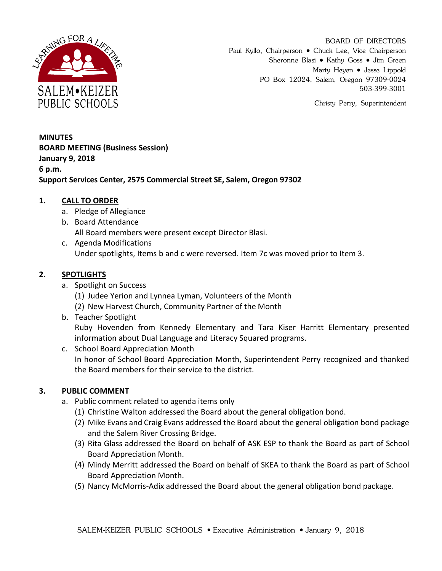

BOARD OF DIRECTORS Paul Kyllo, Chairperson • Chuck Lee, Vice Chairperson Sheronne Blasi • Kathy Goss • Jim Green Marty Heyen • Jesse Lippold PO Box 12024, Salem, Oregon 97309-0024 503-399-3001

Christy Perry, Superintendent

**MINUTES BOARD MEETING (Business Session) January 9, 2018 6 p.m. Support Services Center, 2575 Commercial Street SE, Salem, Oregon 97302**

# **1. CALL TO ORDER**

- a. Pledge of Allegiance
- b. Board Attendance All Board members were present except Director Blasi.
- c. Agenda Modifications Under spotlights, Items b and c were reversed. Item 7c was moved prior to Item 3.

# **2. SPOTLIGHTS**

- a. Spotlight on Success
	- (1) Judee Yerion and Lynnea Lyman, Volunteers of the Month
	- (2) New Harvest Church, Community Partner of the Month
- b. Teacher Spotlight

Ruby Hovenden from Kennedy Elementary and Tara Kiser Harritt Elementary presented information about Dual Language and Literacy Squared programs.

c. School Board Appreciation Month In honor of School Board Appreciation Month, Superintendent Perry recognized and thanked the Board members for their service to the district.

# **3. PUBLIC COMMENT**

- a. Public comment related to agenda items only
	- (1) Christine Walton addressed the Board about the general obligation bond.
	- (2) Mike Evans and Craig Evans addressed the Board about the general obligation bond package and the Salem River Crossing Bridge.
	- (3) Rita Glass addressed the Board on behalf of ASK ESP to thank the Board as part of School Board Appreciation Month.
	- (4) Mindy Merritt addressed the Board on behalf of SKEA to thank the Board as part of School Board Appreciation Month.
	- (5) Nancy McMorris-Adix addressed the Board about the general obligation bond package.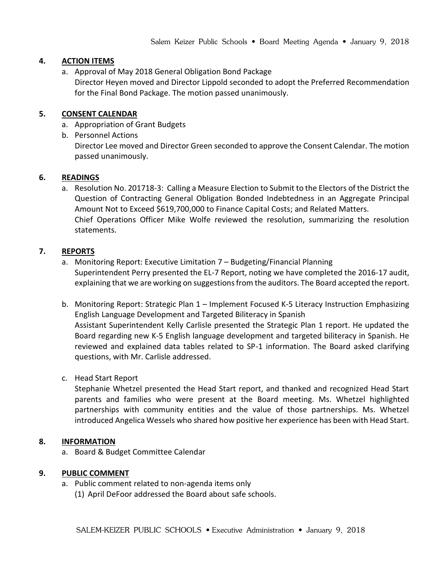# **4. ACTION ITEMS**

a. Approval of May 2018 General Obligation Bond Package

Director Heyen moved and Director Lippold seconded to adopt the Preferred Recommendation for the Final Bond Package. The motion passed unanimously.

## **5. CONSENT CALENDAR**

- a. Appropriation of Grant Budgets
- b. Personnel Actions

Director Lee moved and Director Green seconded to approve the Consent Calendar. The motion passed unanimously.

## **6. READINGS**

a. Resolution No. 201718-3: Calling a Measure Election to Submit to the Electors of the District the Question of Contracting General Obligation Bonded Indebtedness in an Aggregate Principal Amount Not to Exceed \$619,700,000 to Finance Capital Costs; and Related Matters. Chief Operations Officer Mike Wolfe reviewed the resolution, summarizing the resolution statements.

## **7. REPORTS**

- a. Monitoring Report: Executive Limitation 7 Budgeting/Financial Planning Superintendent Perry presented the EL-7 Report, noting we have completed the 2016-17 audit, explaining that we are working on suggestions from the auditors. The Board accepted the report.
- b. Monitoring Report: Strategic Plan 1 Implement Focused K-5 Literacy Instruction Emphasizing English Language Development and Targeted Biliteracy in Spanish Assistant Superintendent Kelly Carlisle presented the Strategic Plan 1 report. He updated the Board regarding new K-5 English language development and targeted biliteracy in Spanish. He reviewed and explained data tables related to SP-1 information. The Board asked clarifying questions, with Mr. Carlisle addressed.
- c. Head Start Report

Stephanie Whetzel presented the Head Start report, and thanked and recognized Head Start parents and families who were present at the Board meeting. Ms. Whetzel highlighted partnerships with community entities and the value of those partnerships. Ms. Whetzel introduced Angelica Wessels who shared how positive her experience has been with Head Start.

#### **8. INFORMATION**

a. Board & Budget Committee Calendar

#### **9. PUBLIC COMMENT**

a. Public comment related to non-agenda items only (1) April DeFoor addressed the Board about safe schools.